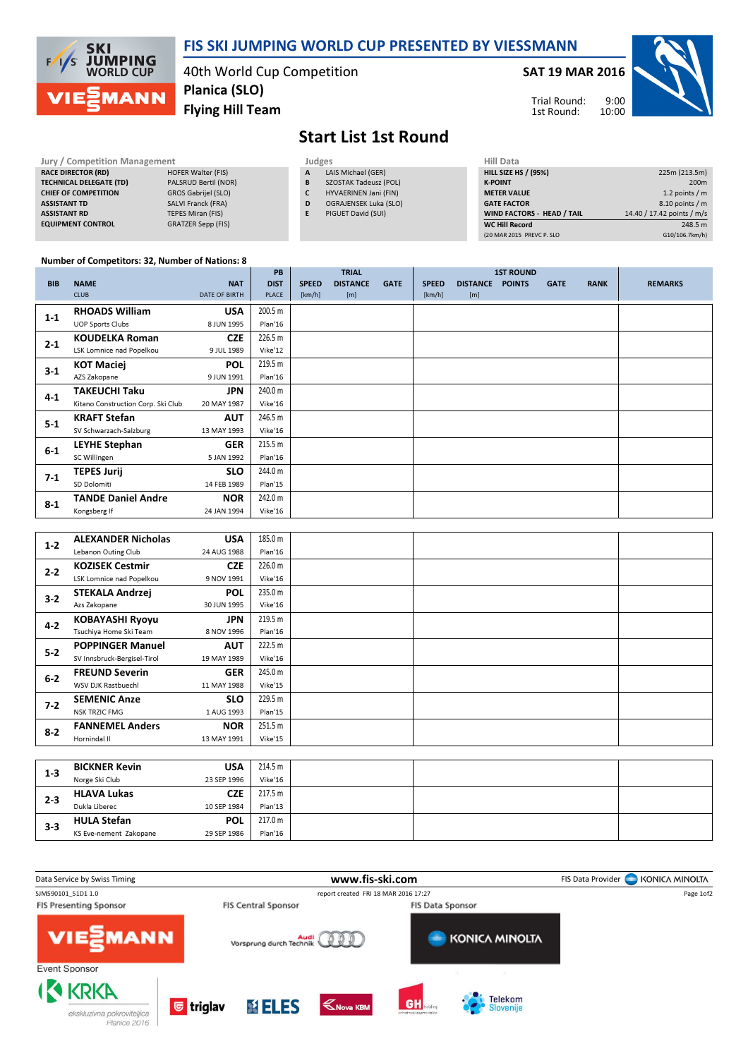

### FIS SKI JUMPING WORLD CUP PRESENTED BY VIESSMANN

40th World Cup Competition Flying Hill Team Planica (SLO)

#### SAT 19 MAR 2016



10:00 Trial Round: 1st Round:

# Start List 1st Round

| <b>Jury / Competition Management</b> |                           |   | Judges                |                    |  |  |  |
|--------------------------------------|---------------------------|---|-----------------------|--------------------|--|--|--|
| <b>RACE DIRECTOR (RD)</b>            | <b>HOFER Walter (FIS)</b> | A | LAIS Michael (GER)    | <b>HILL SIZE H</b> |  |  |  |
| <b>TECHNICAL DELEGATE (TD)</b>       | PALSRUD Bertil (NOR)      | в | SZOSTAK Tadeusz (POL) | <b>K-POINT</b>     |  |  |  |
| <b>CHIEF OF COMPETITION</b>          | GROS Gabrijel (SLO)       |   | HYVAERINEN Jani (FIN) | <b>METER VAI</b>   |  |  |  |
| <b>ASSISTANT TD</b>                  | SALVI Franck (FRA)        | D | OGRAJENSEK Luka (SLO) | <b>GATE FACT</b>   |  |  |  |
| <b>ASSISTANT RD</b>                  | <b>TEPES Miran (FIS)</b>  |   | PIGUET David (SUI)    | <b>WIND FACT</b>   |  |  |  |
| <b>EQUIPMENT CONTROL</b>             | <b>GRATZER Sepp (FIS)</b> |   |                       | <b>WC Hill Reg</b> |  |  |  |

| 225m (213.5m)              |
|----------------------------|
| 200 <sub>m</sub>           |
| 1.2 points $/m$            |
| 8.10 points / m            |
| 14.40 / 17.42 points / m/s |
| 248.5 m                    |
| G10/106.7km/h)             |
|                            |

#### Number of Competitors: 32, Number of Nations: 8

|            |                                    |                      | <b>PB</b>   |              | <b>TRIAL</b>    |             |              |                 | <b>1ST ROUND</b> |             |             |                |
|------------|------------------------------------|----------------------|-------------|--------------|-----------------|-------------|--------------|-----------------|------------------|-------------|-------------|----------------|
| <b>BIB</b> | <b>NAME</b>                        | <b>NAT</b>           | <b>DIST</b> | <b>SPEED</b> | <b>DISTANCE</b> | <b>GATE</b> | <b>SPEED</b> | <b>DISTANCE</b> | <b>POINTS</b>    | <b>GATE</b> | <b>RANK</b> | <b>REMARKS</b> |
|            | <b>CLUB</b>                        | <b>DATE OF BIRTH</b> | PLACE       | [km/h]       | [m]             |             | [km/h]       | [m]             |                  |             |             |                |
| $1 - 1$    | <b>RHOADS William</b>              | <b>USA</b>           | 200.5 m     |              |                 |             |              |                 |                  |             |             |                |
|            | <b>UOP Sports Clubs</b>            | 8 JUN 1995           | Plan'16     |              |                 |             |              |                 |                  |             |             |                |
| $2 - 1$    | <b>KOUDELKA Roman</b>              | <b>CZE</b>           | 226.5 m     |              |                 |             |              |                 |                  |             |             |                |
|            | LSK Lomnice nad Popelkou           | 9 JUL 1989           | Vike'12     |              |                 |             |              |                 |                  |             |             |                |
| $3-1$      | <b>KOT Maciej</b>                  | <b>POL</b>           | 219.5 m     |              |                 |             |              |                 |                  |             |             |                |
|            | AZS Zakopane                       | 9 JUN 1991           | Plan'16     |              |                 |             |              |                 |                  |             |             |                |
| $4 - 1$    | TAKEUCHI Taku                      | JPN                  | 240.0 m     |              |                 |             |              |                 |                  |             |             |                |
|            | Kitano Construction Corp. Ski Club | 20 MAY 1987          | Vike'16     |              |                 |             |              |                 |                  |             |             |                |
| $5 - 1$    | <b>KRAFT Stefan</b>                | <b>AUT</b>           | 246.5 m     |              |                 |             |              |                 |                  |             |             |                |
|            | SV Schwarzach-Salzburg             | 13 MAY 1993          | Vike'16     |              |                 |             |              |                 |                  |             |             |                |
| $6-1$      | <b>LEYHE Stephan</b>               | <b>GER</b>           | 215.5 m     |              |                 |             |              |                 |                  |             |             |                |
|            | SC Willingen                       | 5 JAN 1992           | Plan'16     |              |                 |             |              |                 |                  |             |             |                |
| $7-1$      | TEPES Jurij                        | <b>SLO</b>           | 244.0 m     |              |                 |             |              |                 |                  |             |             |                |
|            | SD Dolomiti                        | 14 FEB 1989          | Plan'15     |              |                 |             |              |                 |                  |             |             |                |
| $8-1$      | <b>TANDE Daniel Andre</b>          | <b>NOR</b>           | 242.0 m     |              |                 |             |              |                 |                  |             |             |                |
|            | Kongsberg If                       | 24 JAN 1994          | Vike'16     |              |                 |             |              |                 |                  |             |             |                |

| $1 - 2$ | <b>ALEXANDER Nicholas</b>   | <b>USA</b>  | 185.0 m |  |  |
|---------|-----------------------------|-------------|---------|--|--|
|         | Lebanon Outing Club         | 24 AUG 1988 | Plan'16 |  |  |
| $2 - 2$ | <b>KOZISEK Cestmir</b>      | <b>CZE</b>  | 226.0 m |  |  |
|         | LSK Lomnice nad Popelkou    | 9 NOV 1991  | Vike'16 |  |  |
| $3-2$   | <b>STEKALA Andrzej</b>      | <b>POL</b>  | 235.0 m |  |  |
|         | Azs Zakopane                | 30 JUN 1995 | Vike'16 |  |  |
| $4 - 2$ | <b>KOBAYASHI Ryoyu</b>      | <b>JPN</b>  | 219.5 m |  |  |
|         | Tsuchiya Home Ski Team      | 8 NOV 1996  | Plan'16 |  |  |
|         | <b>POPPINGER Manuel</b>     | <b>AUT</b>  | 222.5 m |  |  |
| $5-2$   | SV Innsbruck-Bergisel-Tirol | 19 MAY 1989 | Vike'16 |  |  |
| $6 - 2$ | <b>FREUND Severin</b>       | <b>GER</b>  | 245.0 m |  |  |
|         | WSV DJK Rastbuechl          | 11 MAY 1988 | Vike'15 |  |  |
| $7 - 2$ | <b>SEMENIC Anze</b>         | <b>SLO</b>  | 229.5 m |  |  |
|         | <b>NSK TRZIC FMG</b>        | 1 AUG 1993  | Plan'15 |  |  |
| $8 - 2$ | <b>FANNEMEL Anders</b>      | <b>NOR</b>  | 251.5 m |  |  |
|         | Hornindal II                | 13 MAY 1991 | Vike'15 |  |  |
|         |                             |             |         |  |  |

| $1 - 3$ | <b>BICKNER Kevin</b>   | <b>USA</b>  | 214.5 m |  |  |
|---------|------------------------|-------------|---------|--|--|
|         | Norge Ski Club         | 23 SEP 1996 | Vike'16 |  |  |
| $2 - 3$ | <b>HLAVA Lukas</b>     | CZE         | 217.5 m |  |  |
|         | Dukla Liberec          | 10 SEP 1984 | Plan'13 |  |  |
| $3-3$   | <b>HULA Stefan</b>     | <b>POL</b>  | 217.0 m |  |  |
|         | KS Eve-nement Zakopane | 29 SEP 1986 | Plan'16 |  |  |